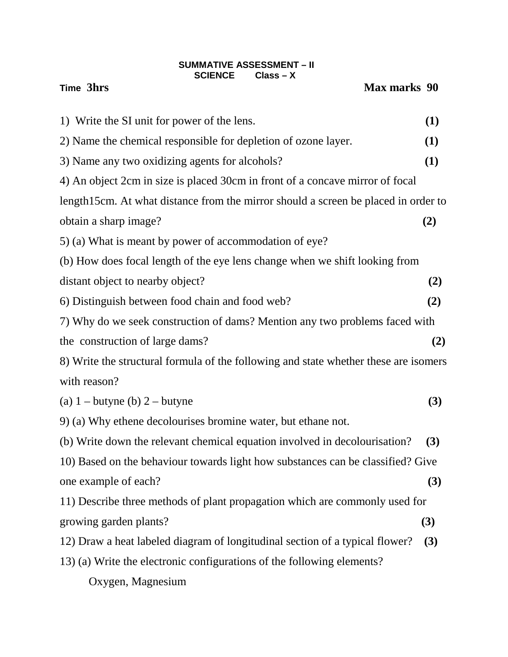# **SUMMATIVE ASSESSMENT – II SCIENCE Class – X**<br>**SCIENCE** Class – X

**Max marks 90** 

| 1) Write the SI unit for power of the lens.                                          | (1) |
|--------------------------------------------------------------------------------------|-----|
| 2) Name the chemical responsible for depletion of ozone layer.                       | (1) |
| 3) Name any two oxidizing agents for alcohols?                                       | (1) |
| 4) An object 2cm in size is placed 30cm in front of a concave mirror of focal        |     |
| length15cm. At what distance from the mirror should a screen be placed in order to   |     |
| obtain a sharp image?                                                                | (2) |
| 5) (a) What is meant by power of accommodation of eye?                               |     |
| (b) How does focal length of the eye lens change when we shift looking from          |     |
| distant object to nearby object?                                                     | (2) |
| 6) Distinguish between food chain and food web?                                      | (2) |
| 7) Why do we seek construction of dams? Mention any two problems faced with          |     |
| the construction of large dams?                                                      | (2) |
| 8) Write the structural formula of the following and state whether these are isomers |     |
| with reason?                                                                         |     |
| (a) $1$ – butyne (b) $2$ – butyne                                                    | (3) |
| 9) (a) Why ethene decolourises bromine water, but ethane not.                        |     |
| (b) Write down the relevant chemical equation involved in decolourisation?           | (3) |
| 10) Based on the behaviour towards light how substances can be classified? Give      |     |
| one example of each?                                                                 | (3) |
| 11) Describe three methods of plant propagation which are commonly used for          |     |
| growing garden plants?                                                               | (3) |
| 12) Draw a heat labeled diagram of longitudinal section of a typical flower?         | (3) |
| 13) (a) Write the electronic configurations of the following elements?               |     |
| Oxygen, Magnesium                                                                    |     |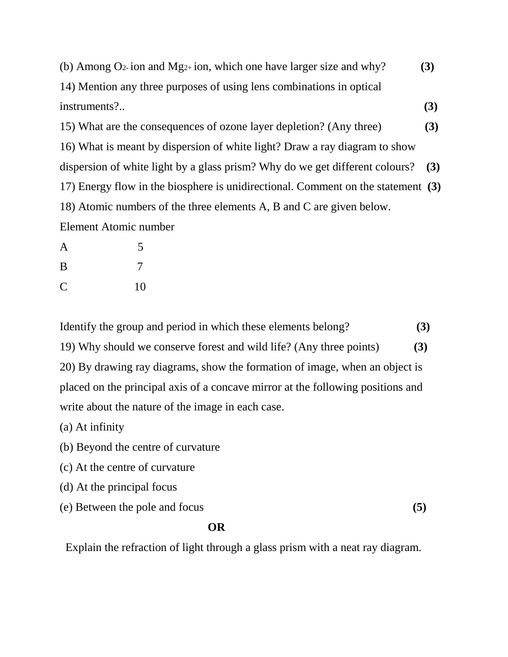| (b) Among $Q_2$ -ion and Mg <sub>2+</sub> ion, which one have larger size and why? | (3) |
|------------------------------------------------------------------------------------|-----|
| 14) Mention any three purposes of using lens combinations in optical               |     |
| instruments?                                                                       | (3) |
| 15) What are the consequences of ozone layer depletion? (Any three)                | (3) |
| 16) What is meant by dispersion of white light? Draw a ray diagram to show         |     |
| dispersion of white light by a glass prism? Why do we get different colours?       | (3) |
| 17) Energy flow in the biosphere is unidirectional. Comment on the statement (3)   |     |
| 18) Atomic numbers of the three elements A, B and C are given below.               |     |
| Element Atomic number                                                              |     |
| $\mathbf{A}$<br>5                                                                  |     |

**B** 7 C 10

Identify the group and period in which these elements belong? **(3)** 19) Why should we conserve forest and wild life? (Any three points) **(3)** 20) By drawing ray diagrams, show the formation of image, when an object is placed on the principal axis of a concave mirror at the following positions and write about the nature of the image in each case.

(a) At infinity

(b) Beyond the centre of curvature

(c) At the centre of curvature

(d) At the principal focus

(e) Between the pole and focus **(5)**

# *OR*

Explain the refraction of light through a glass prism with a neat ray diagram.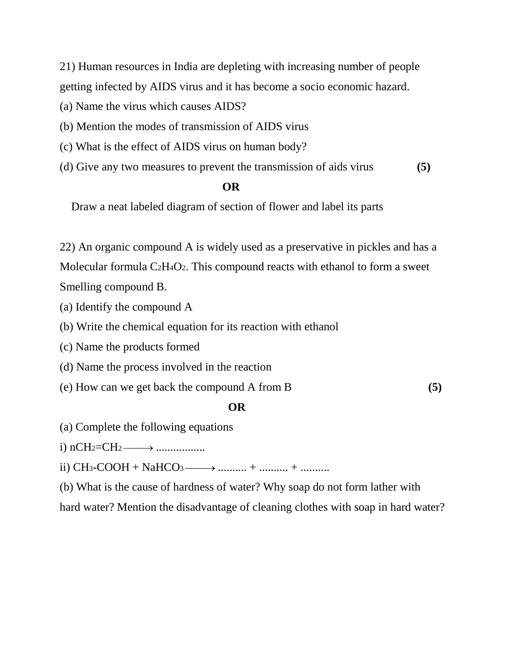21) Human resources in India are depleting with increasing number of people getting infected by AIDS virus and it has become a socio economic hazard.

(a) Name the virus which causes AIDS?

(b) Mention the modes of transmission of AIDS virus

(c) What is the effect of AIDS virus on human body?

(d) Give any two measures to prevent the transmission of aids virus **(5)**

# **OR**

Draw a neat labeled diagram of section of flower and label its parts

22) An organic compound A is widely used as a preservative in pickles and has a Molecular formula C2H4O2. This compound reacts with ethanol to form a sweet Smelling compound B.

- (a) Identify the compound A
- (b) Write the chemical equation for its reaction with ethanol
- (c) Name the products formed
- (d) Name the process involved in the reaction
- (e) How can we get back the compound A from B **(5)**

# *OR*

- (a) Complete the following equations
- i) nCH2=CH2 → .................

ii) CH3-COOH + NaHCO3 → .......... + .......... + ..........

(b) What is the cause of hardness of water? Why soap do not form lather with

hard water? Mention the disadvantage of cleaning clothes with soap in hard water?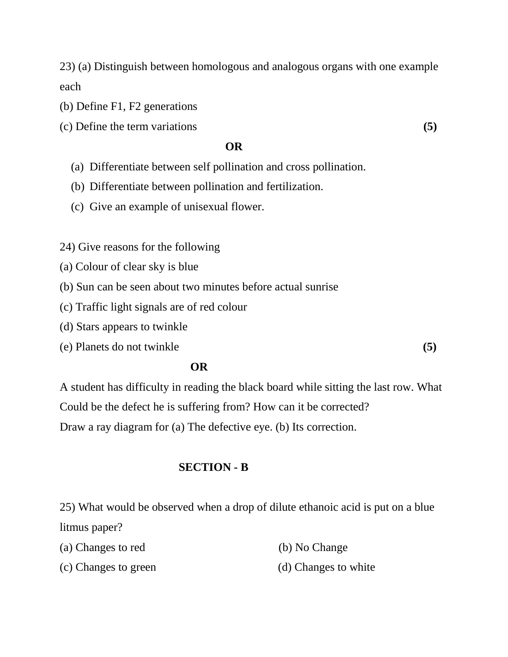23) (a) Distinguish between homologous and analogous organs with one example each

(b) Define F1, F2 generations

(c) Define the term variations **(5)**

## **OR**

- (a) Differentiate between self pollination and cross pollination.
- (b) Differentiate between pollination and fertilization.
- (c) Give an example of unisexual flower.

24) Give reasons for the following

- (a) Colour of clear sky is blue
- (b) Sun can be seen about two minutes before actual sunrise
- (c) Traffic light signals are of red colour
- (d) Stars appears to twinkle
- (e) Planets do not twinkle **(5)**

## *OR*

A student has difficulty in reading the black board while sitting the last row. What Could be the defect he is suffering from? How can it be corrected? Draw a ray diagram for (a) The defective eye. (b) Its correction.

### **SECTION - B**

25) What would be observed when a drop of dilute ethanoic acid is put on a blue litmus paper?

| (a) Changes to red | (b) No Change |
|--------------------|---------------|
|                    |               |

(c) Changes to green (d) Changes to white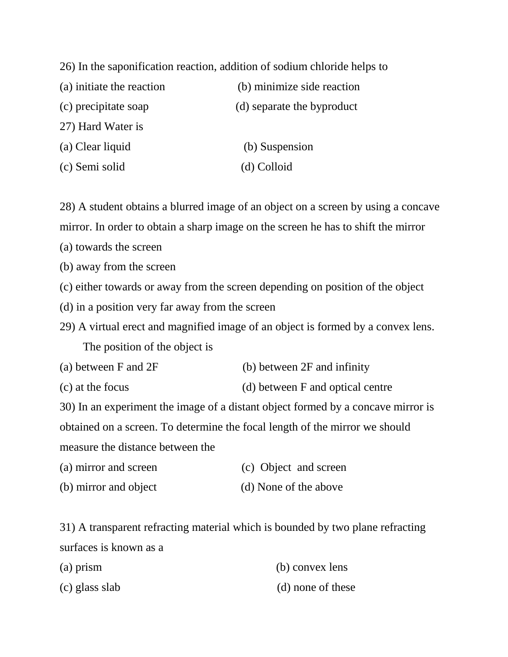26) In the saponification reaction, addition of sodium chloride helps to

| (a) initiate the reaction | (b) minimize side reaction |
|---------------------------|----------------------------|
| (c) precipitate soap      | (d) separate the byproduct |
| 27) Hard Water is         |                            |
| (a) Clear liquid          | (b) Suspension             |
| (c) Semi solid            | (d) Colloid                |

28) A student obtains a blurred image of an object on a screen by using a concave mirror. In order to obtain a sharp image on the screen he has to shift the mirror

(a) towards the screen

(b) away from the screen

- (c) either towards or away from the screen depending on position of the object
- (d) in a position very far away from the screen

29) A virtual erect and magnified image of an object is formed by a convex lens. The position of the object is

- (a) between F and 2F (b) between 2F and infinity
- (c) at the focus (d) between F and optical centre

30) In an experiment the image of a distant object formed by a concave mirror is obtained on a screen. To determine the focal length of the mirror we should

measure the distance between the

- (a) mirror and screen (c) Object and screen
- (b) mirror and object (d) None of the above

31) A transparent refracting material which is bounded by two plane refracting surfaces is known as a

| $(a)$ prism    | (b) convex lens   |
|----------------|-------------------|
| (c) glass slab | (d) none of these |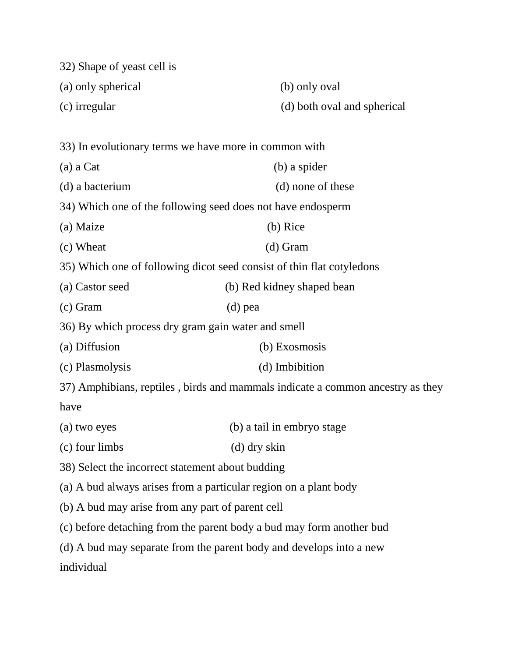| 32) Shape of yeast cell is                                                     |                             |  |  |
|--------------------------------------------------------------------------------|-----------------------------|--|--|
| (a) only spherical                                                             | (b) only oval               |  |  |
| (c) irregular                                                                  | (d) both oval and spherical |  |  |
|                                                                                |                             |  |  |
| 33) In evolutionary terms we have more in common with                          |                             |  |  |
| (a) a Cat                                                                      | (b) a spider                |  |  |
| (d) a bacterium                                                                | (d) none of these           |  |  |
| 34) Which one of the following seed does not have endosperm                    |                             |  |  |
| (a) Maize                                                                      | (b) Rice                    |  |  |
| (c) Wheat                                                                      | $(d)$ Gram                  |  |  |
| 35) Which one of following dicot seed consist of thin flat cotyledons          |                             |  |  |
| (a) Castor seed                                                                | (b) Red kidney shaped bean  |  |  |
| $(c)$ Gram                                                                     | $(d)$ pea                   |  |  |
| 36) By which process dry gram gain water and smell                             |                             |  |  |
| (a) Diffusion                                                                  | (b) Exosmosis               |  |  |
| (c) Plasmolysis                                                                | (d) Imbibition              |  |  |
| 37) Amphibians, reptiles, birds and mammals indicate a common ancestry as they |                             |  |  |
| have                                                                           |                             |  |  |
| (a) two eyes                                                                   | (b) a tail in embryo stage  |  |  |
| (c) four limbs                                                                 | $(d)$ dry skin              |  |  |
| 38) Select the incorrect statement about budding                               |                             |  |  |
| (a) A bud always arises from a particular region on a plant body               |                             |  |  |
| (b) A bud may arise from any part of parent cell                               |                             |  |  |
| (c) before detaching from the parent body a bud may form another bud           |                             |  |  |
| (d) A bud may separate from the parent body and develops into a new            |                             |  |  |
| individual                                                                     |                             |  |  |
|                                                                                |                             |  |  |